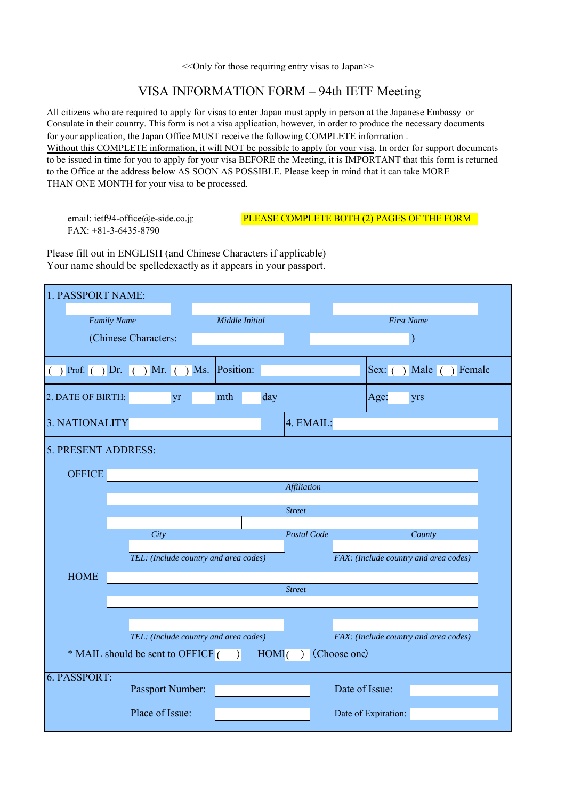<<Only for those requiring entry visas to Japan>>

## VISA INFORMATION FORM – 94th IETF Meeting

All citizens who are required to apply for visas to enter Japan must apply in person at the Japanese Embassy or for your application, the Japan Office MUST receive the following COMPLETE information . Without this COMPLETE information, it will NOT be possible to apply for your visa. In order for support documents to be issued in time for you to apply for your visa BEFORE the Meeting, it is IMPORTANT that this form is returned to the Office at the address below AS SOON AS POSSIBLE. Please keep in mind that it can take MORE THAN ONE MONTH for your visa to be processed. Consulate in their country. This form is not a visa application, however, in order to produce the necessary documents

FAX: +81-3-6435-8790

## email: ietf94-office@e-side.co.jp PLEASE COMPLETE BOTH (2) PAGES OF THE FORM

Please fill out in ENGLISH (and Chinese Characters if applicable) Your name should be spelledexactly as it appears in your passport.

| 1. PASSPORT NAME:                                               |                                         |                                       |                    |                                       |                        |  |  |  |  |  |  |
|-----------------------------------------------------------------|-----------------------------------------|---------------------------------------|--------------------|---------------------------------------|------------------------|--|--|--|--|--|--|
|                                                                 | <b>Family Name</b>                      | Middle Initial                        |                    | <b>First Name</b>                     |                        |  |  |  |  |  |  |
| (Chinese Characters:                                            |                                         |                                       |                    |                                       |                        |  |  |  |  |  |  |
|                                                                 | () Prof. () Dr. () Mr. () Ms. Position: |                                       |                    |                                       | Sex: () Male () Female |  |  |  |  |  |  |
| 2. DATE OF BIRTH:                                               | yr                                      | mth                                   | day                | Age:                                  | yrs                    |  |  |  |  |  |  |
| 3. NATIONALITY<br>4. EMAIL:                                     |                                         |                                       |                    |                                       |                        |  |  |  |  |  |  |
| 5. PRESENT ADDRESS:                                             |                                         |                                       |                    |                                       |                        |  |  |  |  |  |  |
| <b>OFFICE</b>                                                   |                                         |                                       |                    |                                       |                        |  |  |  |  |  |  |
|                                                                 |                                         |                                       | <b>Affiliation</b> |                                       |                        |  |  |  |  |  |  |
|                                                                 | <b>Street</b>                           |                                       |                    |                                       |                        |  |  |  |  |  |  |
|                                                                 |                                         |                                       |                    |                                       |                        |  |  |  |  |  |  |
|                                                                 | City                                    |                                       | Postal Code        |                                       | County                 |  |  |  |  |  |  |
|                                                                 |                                         | TEL: (Include country and area codes) |                    | FAX: (Include country and area codes) |                        |  |  |  |  |  |  |
| <b>HOME</b>                                                     |                                         |                                       |                    |                                       |                        |  |  |  |  |  |  |
|                                                                 |                                         |                                       | <b>Street</b>      |                                       |                        |  |  |  |  |  |  |
|                                                                 |                                         |                                       |                    |                                       |                        |  |  |  |  |  |  |
|                                                                 |                                         |                                       |                    |                                       |                        |  |  |  |  |  |  |
|                                                                 |                                         | TEL: (Include country and area codes) |                    | FAX: (Include country and area codes) |                        |  |  |  |  |  |  |
| (Choose one)<br>* MAIL should be sent to OFFICE $( )$ HOM $( )$ |                                         |                                       |                    |                                       |                        |  |  |  |  |  |  |
| 6. PASSPORT:                                                    | Passport Number:                        |                                       |                    | Date of Issue:                        |                        |  |  |  |  |  |  |
|                                                                 | Place of Issue:                         |                                       |                    | Date of Expiration:                   |                        |  |  |  |  |  |  |